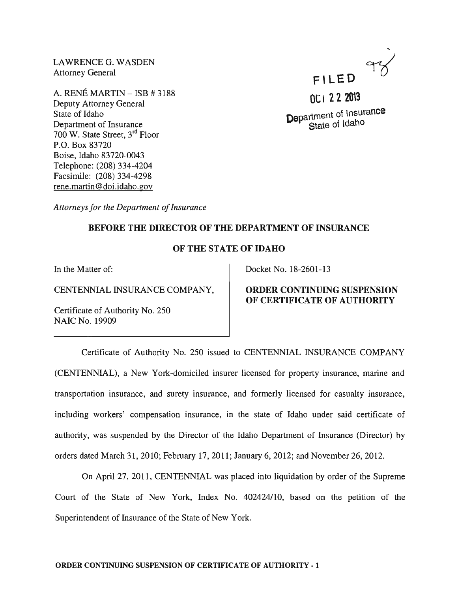LAWRENCE G. WASDEN Attorney General

A. RENE MARTIN - ISB # 3188 Deputy Attorney General State of Idaho Department of Insurance 700 W. State Street, 3rd Floor P.O. Box 83720 Boise, Idaho 83720-0043 Telephone: (208) 334-4204 Facsimile: (208) 334-4298 rene.martin@doi.idaho.gov



Department of Insurance State of Idaho

*Attorneys for the Department of Insurance* 

## BEFORE THE DIRECTOR OF THE DEPARTMENT OF INSURANCE

## OF THE STATE OF IDAHO

In the Matter of:

CENTENNIAL INSURANCE COMPANY,

Certificate of Authority No. 250 NAIC No. 19909

Docket No. 18-2601-13

# ORDER CONTINUING SUSPENSION OF CERTIFICATE OF AUTHORITY

Certificate of Authority No. 250 issued to CENTENNIAL INSURANCE COMPANY (CENTENNIAL), a New York-domiciled insurer licensed for property insurance, marine and transportation insurance, and surety insurance, and formerly licensed for casualty insurance, including workers' compensation insurance, in the state of Idaho under said certificate of authority, was suspended by the Director of the Idaho Department of Insurance (Director) by orders dated March 31, 2010; February 17,2011; January 6, 2012; and November 26,2012.

On April 27, 2011, CENTENNIAL was placed into liquidation by order of the Supreme Court of the State of New York, Index No. 402424110, based on the petition of the Superintendent of Insurance of the State of New York.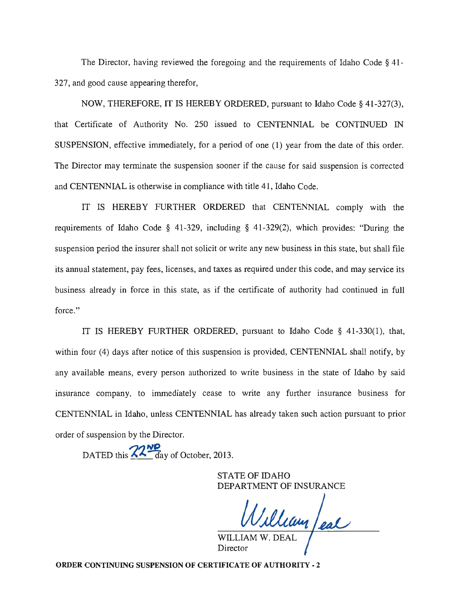The Director, having reviewed the foregoing and the requirements of Idaho Code  $\S$  41. 327, and good cause appearing therefor,

NOW, THEREFORE, IT IS HEREBY ORDERED, pursuant to Idaho Code § 41-327(3), that Certificate of Authority No. 250 issued to CENTENNIAL be CONTINUED IN SUSPENSION, effective immediately, for a period of one (1) year from the date of this order. The Director may terminate the suspension sooner if the cause for said suspension is corrected and CENTENNIAL is otherwise in compliance with title 41, Idaho Code.

IT IS HEREBY FURTHER ORDERED that CENTENNIAL comply with the requirements of Idaho Code § 41-329, including § 41-329(2), which provides: "During the suspension period the insurer shall not solicit or write any new business in this state, but shall file its annual statement, pay fees, licenses, and taxes as required under this code, and may service its business already in force in this state, as if the certificate of authority had continued in full force."

IT IS HEREBY FURTHER ORDERED, pursuant to Idaho Code § 41-330(1), that, within four (4) days after notice of this suspension is provided, CENTENNIAL shall notify, by any available means, every person authorized to write business in the state of Idaho by said insurance company, to immediately cease to write any further insurance business for CENTENNIAL in Idaho, unless CENTENNIAL has already taken such action pursuant to prior order of suspension by the Director.

DATED this  $\frac{22\text{W}}{a}$  day of October, 2013.

STATE OF IDAHO DEPARTMENT OF INSURANCE

William /eal

Director

ORDER CONTINUING SUSPENSION OF CERTIFICATE OF AUTHORITY - 2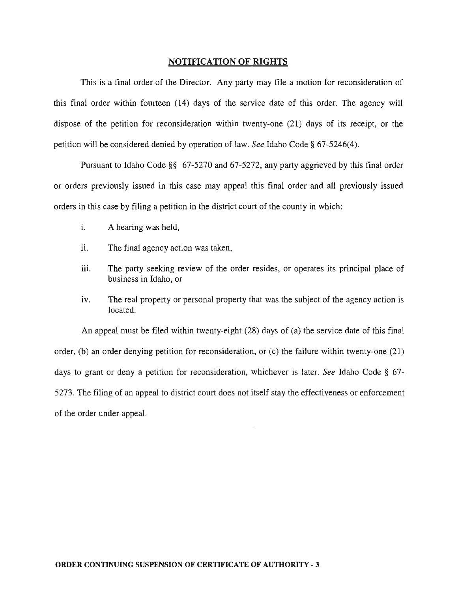#### **NOTIFICATION OF RIGHTS**

This is a final order of the Director. Any party may file a motion for reconsideration of this final order within fourteen (14) days of the service date of this order. The agency will dispose of the petition for reconsideration within twenty-one (21) days of its receipt, or the petition will be considered denied by operation of law. *See* Idaho Code § 67-5246(4).

Pursuant to Idaho Code §§ 67-5270 and 67-5272, any party aggrieved by this final order or orders previously issued in this case may appeal this final order and all previously issued orders in this case by filing a petition in the district court of the county in which:

- i. A hearing was held,
- ii. The final agency action was taken,
- iii. The party seeking review of the order resides, or operates its principal place of business in Idaho, or
- iv. The real property or personal property that was the subject of the agency action is located.

An appeal must be filed within twenty-eight (28) days of (a) the service date of this final order, (b) an order denying petition for reconsideration, or (c) the failure within twenty-one (21) days to grant or deny a petition for reconsideration, whichever is later. *See* Idaho Code § 67- 5273. The filing of an appeal to district court does not itself stay the effectiveness or enforcement of the order under appeal.